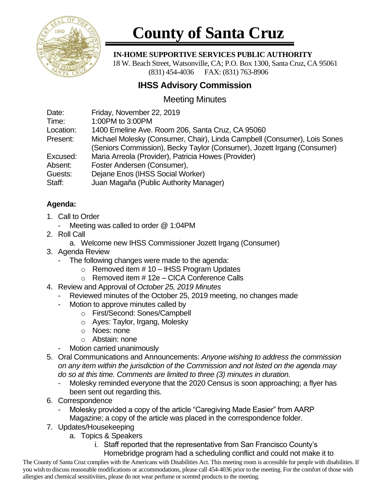

# **County of Santa Cruz**

#### **IN-HOME SUPPORTIVE SERVICES PUBLIC AUTHORITY**

 18 W. Beach Street, Watsonville, CA; P.O. Box 1300, Santa Cruz, CA 95061 (831) 454-4036 FAX: (831) 763-8906

## **IHSS Advisory Commission**

### Meeting Minutes

| Date:<br>Time: | Friday, November 22, 2019<br>1:00PM to 3:00PM                            |
|----------------|--------------------------------------------------------------------------|
| Location:      | 1400 Emeline Ave. Room 206, Santa Cruz, CA 95060                         |
|                |                                                                          |
| Present:       | Michael Molesky (Consumer, Chair), Linda Campbell (Consumer), Lois Sones |
|                | (Seniors Commission), Becky Taylor (Consumer), Jozett Irgang (Consumer)  |
| Excused:       | Maria Arreola (Provider), Patricia Howes (Provider)                      |
| Absent:        | Foster Andersen (Consumer),                                              |
| Guests:        | Dejane Enos (IHSS Social Worker)                                         |
| Staff:         | Juan Magaña (Public Authority Manager)                                   |

#### **Agenda:**

- 1. Call to Order
	- Meeting was called to order @ 1:04PM
- 2. Roll Call
	- a. Welcome new IHSS Commissioner Jozett Irgang (Consumer)
- 3. Agenda Review
	- The following changes were made to the agenda:
		- $\circ$  Removed item # 10 IHSS Program Updates
		- o Removed item # 12e CICA Conference Calls
- 4. Review and Approval of *October 25, 2019 Minutes*
	- Reviewed minutes of the October 25, 2019 meeting, no changes made
	- Motion to approve minutes called by
		- o First/Second: Sones/Campbell
		- o Ayes: Taylor, Irgang, Molesky
		- o Noes: none
		- o Abstain: none
	- Motion carried unanimously
- 5. Oral Communications and Announcements: *Anyone wishing to address the commission on any item within the jurisdiction of the Commission and not listed on the agenda may do so at this time. Comments are limited to three (3) minutes in duration.*
	- Molesky reminded everyone that the 2020 Census is soon approaching; a flyer has been sent out regarding this.
- 6. Correspondence
	- Molesky provided a copy of the article "Caregiving Made Easier" from AARP Magazine; a copy of the article was placed in the correspondence folder.
- 7. Updates/Housekeeping
	- a. Topics & Speakers
		- i. Staff reported that the representative from San Francisco County's Homebridge program had a scheduling conflict and could not make it to

The County of Santa Cruz complies with the Americans with Disabilities Act. This meeting room is accessible for people with disabilities. If you wish to discuss reasonable modifications or accommodations, please call 454-4036 prior to the meeting. For the comfort of those with allergies and chemical sensitivities, please do not wear perfume or scented products to the meeting.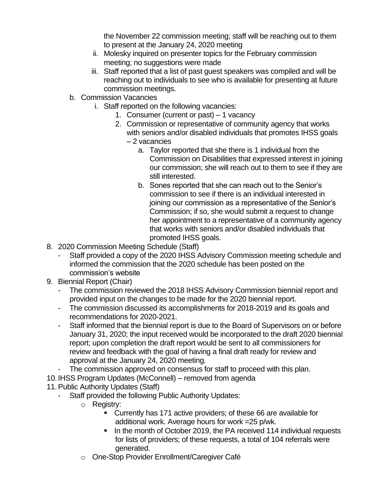the November 22 commission meeting; staff will be reaching out to them to present at the January 24, 2020 meeting

- ii. Molesky inquired on presenter topics for the February commission meeting; no suggestions were made
- iii. Staff reported that a list of past guest speakers was compiled and will be reaching out to individuals to see who is available for presenting at future commission meetings.
- b. Commission Vacancies
	- i. Staff reported on the following vacancies:
		- 1. Consumer (current or past) 1 vacancy
		- 2. Commission or representative of community agency that works with seniors and/or disabled individuals that promotes IHSS goals
			- 2 vacancies
				- a. Taylor reported that she there is 1 individual from the Commission on Disabilities that expressed interest in joining our commission; she will reach out to them to see if they are still interested.
				- b. Sones reported that she can reach out to the Senior's commission to see if there is an individual interested in joining our commission as a representative of the Senior's Commission; if so, she would submit a request to change her appointment to a representative of a community agency that works with seniors and/or disabled individuals that promoted IHSS goals.
- 8. 2020 Commission Meeting Schedule (Staff)
	- Staff provided a copy of the 2020 IHSS Advisory Commission meeting schedule and informed the commission that the 2020 schedule has been posted on the commission's website
- 9. Biennial Report (Chair)
	- The commission reviewed the 2018 IHSS Advisory Commission biennial report and provided input on the changes to be made for the 2020 biennial report.
	- The commission discussed its accomplishments for 2018-2019 and its goals and recommendations for 2020-2021.
	- Staff informed that the biennial report is due to the Board of Supervisors on or before January 31, 2020; the input received would be incorporated to the draft 2020 biennial report; upon completion the draft report would be sent to all commissioners for review and feedback with the goal of having a final draft ready for review and approval at the January 24, 2020 meeting.
	- The commission approved on consensus for staff to proceed with this plan.
- 10. IHSS Program Updates (McConnell) removed from agenda
- 11.Public Authority Updates (Staff)
	- Staff provided the following Public Authority Updates:
		- o Registry:
			- Currently has 171 active providers; of these 66 are available for additional work. Average hours for work =25 p/wk.
			- In the month of October 2019, the PA received 114 individual requests for lists of providers; of these requests, a total of 104 referrals were generated.
		- o One-Stop Provider Enrollment/Caregiver Café